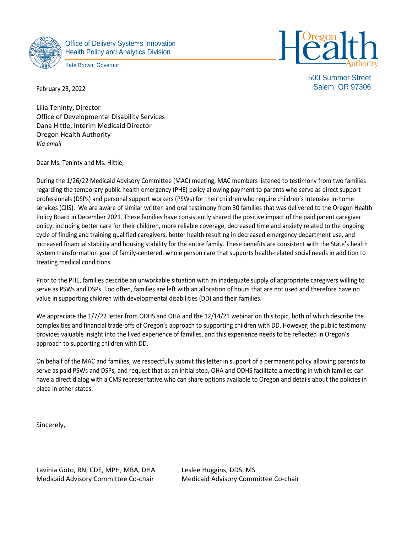

February 23, 2022

Office of Delivery Systems Innovation Health Policy and Analytics Division

Kate Brown, Governor



500 Summer Street Salem, OR 97306

Lilia Teninty, Director Office of Developmental Disability Services Dana Hittle, Interim Medicaid Director Oregon Health Authority *Via email*

Dear Ms. Teninty and Ms. Hittle,

During the 1/26/22 Medicaid Advisory Committee (MAC) meeting, MAC members listened to testimony from two families regarding the temporary public health emergency (PHE) policy allowing payment to parents who serve as direct support professionals (DSPs) and personal support workers (PSWs) for their children who require children's intensive in-home services (CIIS). We are aware of similar written and oral testimony from 30 families that was delivered to the Oregon Health Policy Board in December 2021. These families have consistently shared the positive impact of the paid parent caregiver policy, including better care for their children, more reliable coverage, decreased time and anxiety related to the ongoing cycle of finding and training qualified caregivers, better health resulting in decreased emergency department use, and increased financial stability and housing stability for the entire family. These benefits are consistent with the State's health system transformation goal of family-centered, whole person care that supports health-related social needs in addition to treating medical conditions.

Prior to the PHE, families describe an unworkable situation with an inadequate supply of appropriate caregivers willing to serve as PSWs and DSPs. Too often, families are left with an allocation of hours that are not used and therefore have no value in supporting children with developmental disabilities (DD) and their families.

We appreciate the 1/7/22 letter from ODHS and OHA and the 12/14/21 webinar on this topic, both of which describe the complexities and financial trade-offs of Oregon's approach to supporting children with DD. However, the public testimony provides valuable insight into the lived experience of families, and this experience needs to be reflected in Oregon's approach to supporting children with DD.

On behalf of the MAC and families, we respectfully submit this letter in support of a permanent policy allowing parents to serve as paid PSWs and DSPs, and request that as an initial step, OHA and ODHS facilitate a meeting in which families can have a direct dialog with a CMS representative who can share options available to Oregon and details about the policies in place in other states.

Sincerely,

Lavinia Goto, RN, CDE, MPH, MBA, DHA Leslee Huggins, DDS, MS Medicaid Advisory Committee Co-chair Medicaid Advisory Committee Co-chair